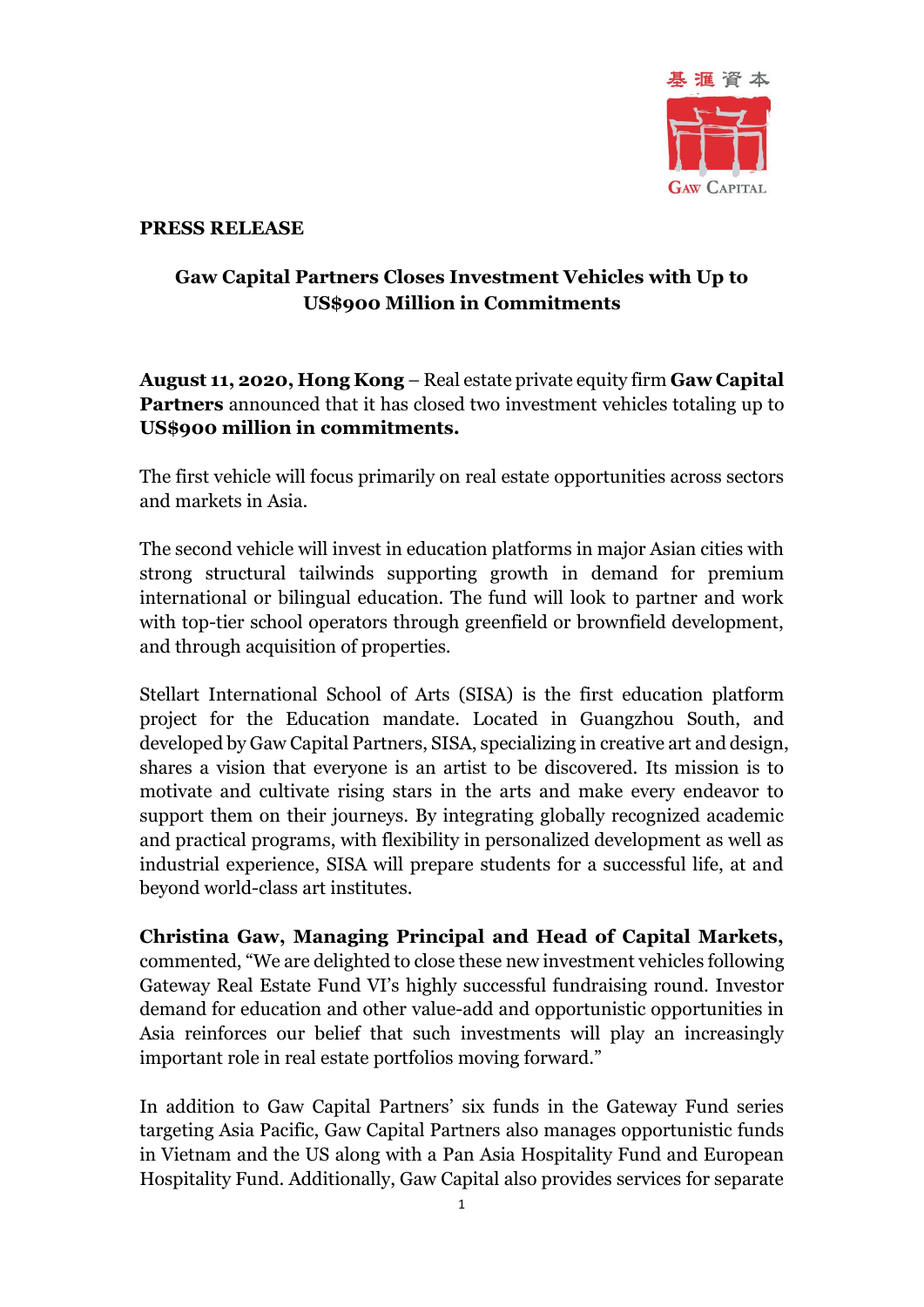

#### **PRESS RELEASE**

# **Gaw Capital Partners Closes Investment Vehicles with Up to US\$900 Million in Commitments**

## **August 11, 2020, Hong Kong** – Real estate private equity firm **Gaw Capital Partners** announced that it has closed two investment vehicles totaling up to **US\$900 million in commitments.**

The first vehicle will focus primarily on real estate opportunities across sectors and markets in Asia.

The second vehicle will invest in education platforms in major Asian cities with strong structural tailwinds supporting growth in demand for premium international or bilingual education. The fund will look to partner and work with top-tier school operators through greenfield or brownfield development, and through acquisition of properties.

Stellart International School of Arts (SISA) is the first education platform project for the Education mandate. Located in Guangzhou South, and developed by Gaw Capital Partners, SISA, specializing in creative art and design, shares a vision that everyone is an artist to be discovered. Its mission is to motivate and cultivate rising stars in the arts and make every endeavor to support them on their journeys. By integrating globally recognized academic and practical programs, with flexibility in personalized development as well as industrial experience, SISA will prepare students for a successful life, at and beyond world-class art institutes.

**Christina Gaw, Managing Principal and Head of Capital Markets,** commented, "We are delighted to close these new investment vehicles following Gateway Real Estate Fund VI's highly successful fundraising round. Investor demand for education and other value-add and opportunistic opportunities in Asia reinforces our belief that such investments will play an increasingly important role in real estate portfolios moving forward."

In addition to Gaw Capital Partners' six funds in the Gateway Fund series targeting Asia Pacific, Gaw Capital Partners also manages opportunistic funds in Vietnam and the US along with a Pan Asia Hospitality Fund and European Hospitality Fund. Additionally, Gaw Capital also provides services for separate